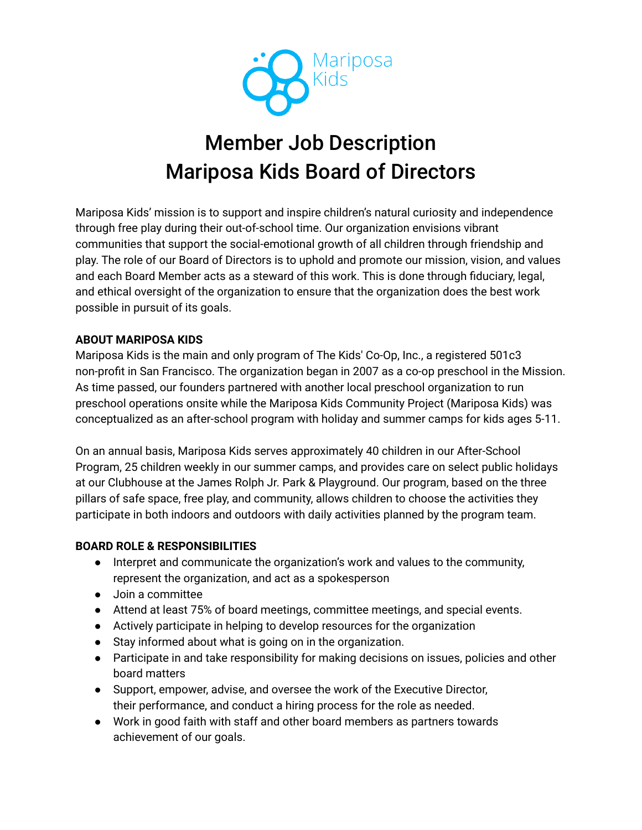

# Member Job Description Mariposa Kids Board of Directors

Mariposa Kids' mission is to support and inspire children's natural curiosity and independence through free play during their out-of-school time. Our organization envisions vibrant communities that support the social-emotional growth of all children through friendship and play. The role of our Board of Directors is to uphold and promote our mission, vision, and values and each Board Member acts as a steward of this work. This is done through fiduciary, legal, and ethical oversight of the organization to ensure that the organization does the best work possible in pursuit of its goals.

## **ABOUT MARIPOSA KIDS**

Mariposa Kids is the main and only program of The Kids' Co-Op, Inc., a registered 501c3 non-profit in San Francisco. The organization began in 2007 as a co-op preschool in the Mission. As time passed, our founders partnered with another local preschool organization to run preschool operations onsite while the Mariposa Kids Community Project (Mariposa Kids) was conceptualized as an after-school program with holiday and summer camps for kids ages 5-11.

On an annual basis, Mariposa Kids serves approximately 40 children in our After-School Program, 25 children weekly in our summer camps, and provides care on select public holidays at our Clubhouse at the James Rolph Jr. Park & Playground. Our program, based on the three pillars of safe space, free play, and community, allows children to choose the activities they participate in both indoors and outdoors with daily activities planned by the program team.

## **BOARD ROLE & RESPONSIBILITIES**

- Interpret and communicate the organization's work and values to the community, represent the organization, and act as a spokesperson
- Join a committee
- Attend at least 75% of board meetings, committee meetings, and special events.
- Actively participate in helping to develop resources for the organization
- Stay informed about what is going on in the organization.
- Participate in and take responsibility for making decisions on issues, policies and other board matters
- Support, empower, advise, and oversee the work of the Executive Director, their performance, and conduct a hiring process for the role as needed.
- Work in good faith with staff and other board members as partners towards achievement of our goals.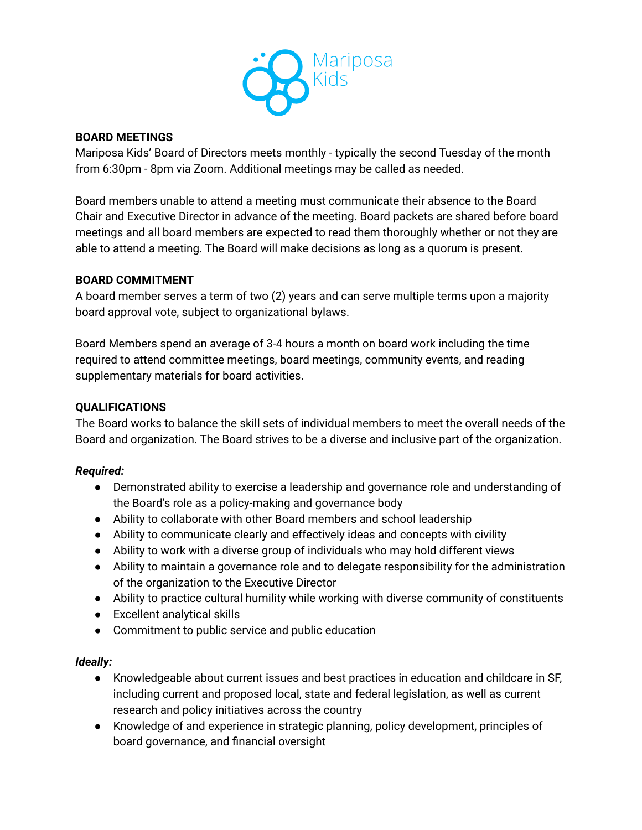

#### **BOARD MEETINGS**

Mariposa Kids' Board of Directors meets monthly - typically the second Tuesday of the month from 6:30pm - 8pm via Zoom. Additional meetings may be called as needed.

Board members unable to attend a meeting must communicate their absence to the Board Chair and Executive Director in advance of the meeting. Board packets are shared before board meetings and all board members are expected to read them thoroughly whether or not they are able to attend a meeting. The Board will make decisions as long as a quorum is present.

## **BOARD COMMITMENT**

A board member serves a term of two (2) years and can serve multiple terms upon a majority board approval vote, subject to organizational bylaws.

Board Members spend an average of 3-4 hours a month on board work including the time required to attend committee meetings, board meetings, community events, and reading supplementary materials for board activities.

#### **QUALIFICATIONS**

The Board works to balance the skill sets of individual members to meet the overall needs of the Board and organization. The Board strives to be a diverse and inclusive part of the organization.

#### *Required:*

- Demonstrated ability to exercise a leadership and governance role and understanding of the Board's role as a policy-making and governance body
- Ability to collaborate with other Board members and school leadership
- Ability to communicate clearly and effectively ideas and concepts with civility
- Ability to work with a diverse group of individuals who may hold different views
- Ability to maintain a governance role and to delegate responsibility for the administration of the organization to the Executive Director
- Ability to practice cultural humility while working with diverse community of constituents
- Excellent analytical skills
- Commitment to public service and public education

## *Ideally:*

- Knowledgeable about current issues and best practices in education and childcare in SF, including current and proposed local, state and federal legislation, as well as current research and policy initiatives across the country
- Knowledge of and experience in strategic planning, policy development, principles of board governance, and financial oversight